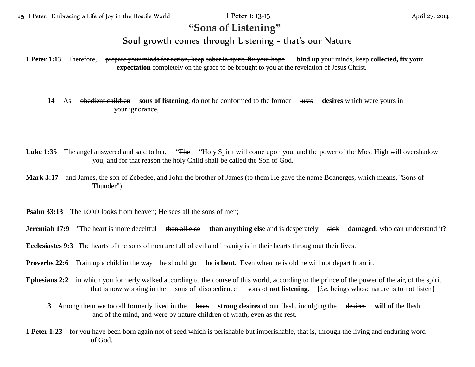## **"Sons of Listening"**

## Soul growth comes through Listening - that's our Nature

**1 Peter 1:13** Therefore, prepare your minds for action, keep sober in spirit, fix your hope **bind up** your minds, keep **collected, fix your expectation** completely on the grace to be brought to you at the revelation of Jesus Christ.

**14** As obedient children **sons of listening**, do not be conformed to the former lusts **desires** which were yours in your ignorance,

- Luke 1:35 The angel answered and said to her, "The "Holy Spirit will come upon you, and the power of the Most High will overshadow you; and for that reason the holy Child shall be called the Son of God.
- **Mark 3:17** and James, the son of Zebedee, and John the brother of James (to them He gave the name Boanerges, which means, "Sons of Thunder")
- **Psalm 33:13** The LORD looks from heaven; He sees all the sons of men;
- **Jeremiah 17:9** "The heart is more deceitful than all else than anything else and is desperately sick damaged; who can understand it?
- **Ecclesiastes 9:3** The hearts of the sons of men are full of evil and insanity is in their hearts throughout their lives.
- **Proverbs 22:6** Train up a child in the way he should go he is bent. Even when he is old he will not depart from it.
- **Ephesians 2:2** in which you formerly walked according to the course of this world, according to the prince of the power of the air, of the spirit that is now working in the sons of disobedience sons of **not listening**. {*i.e.* beings whose nature is to not listen}
	- **3** Among them we too all formerly lived in the lusts **strong desires** of our flesh, indulging the desires **will** of the flesh and of the mind, and were by nature children of wrath, even as the rest.
- **1 Peter 1:23** for you have been born again not of seed which is perishable but imperishable, that is, through the living and enduring word of God.